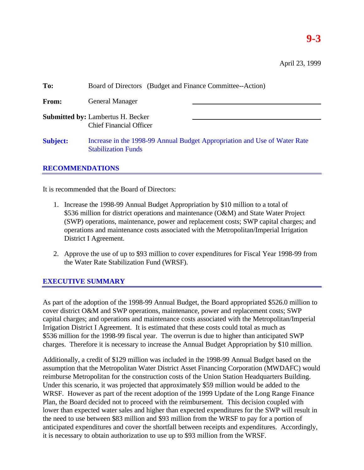# **9-3**

| To:             | Board of Directors (Budget and Finance Committee--Action)                                               |  |  |  |  |
|-----------------|---------------------------------------------------------------------------------------------------------|--|--|--|--|
| <b>From:</b>    | <b>General Manager</b>                                                                                  |  |  |  |  |
|                 | <b>Submitted by: Lambertus H. Becker</b><br><b>Chief Financial Officer</b>                              |  |  |  |  |
| <b>Subject:</b> | Increase in the 1998-99 Annual Budget Appropriation and Use of Water Rate<br><b>Stabilization Funds</b> |  |  |  |  |

### **RECOMMENDATIONS**

It is recommended that the Board of Directors:

- 1. Increase the 1998-99 Annual Budget Appropriation by \$10 million to a total of \$536 million for district operations and maintenance (O&M) and State Water Project (SWP) operations, maintenance, power and replacement costs; SWP capital charges; and operations and maintenance costs associated with the Metropolitan/Imperial Irrigation District I Agreement.
- 2. Approve the use of up to \$93 million to cover expenditures for Fiscal Year 1998-99 from the Water Rate Stabilization Fund (WRSF).

### **EXECUTIVE SUMMARY**

As part of the adoption of the 1998-99 Annual Budget, the Board appropriated \$526.0 million to cover district O&M and SWP operations, maintenance, power and replacement costs; SWP capital charges; and operations and maintenance costs associated with the Metropolitan/Imperial Irrigation District I Agreement. It is estimated that these costs could total as much as \$536 million for the 1998-99 fiscal year. The overrun is due to higher than anticipated SWP charges. Therefore it is necessary to increase the Annual Budget Appropriation by \$10 million.

Additionally, a credit of \$129 million was included in the 1998-99 Annual Budget based on the assumption that the Metropolitan Water District Asset Financing Corporation (MWDAFC) would reimburse Metropolitan for the construction costs of the Union Station Headquarters Building. Under this scenario, it was projected that approximately \$59 million would be added to the WRSF. However as part of the recent adoption of the 1999 Update of the Long Range Finance Plan, the Board decided not to proceed with the reimbursement. This decision coupled with lower than expected water sales and higher than expected expenditures for the SWP will result in the need to use between \$83 million and \$93 million from the WRSF to pay for a portion of anticipated expenditures and cover the shortfall between receipts and expenditures. Accordingly, it is necessary to obtain authorization to use up to \$93 million from the WRSF.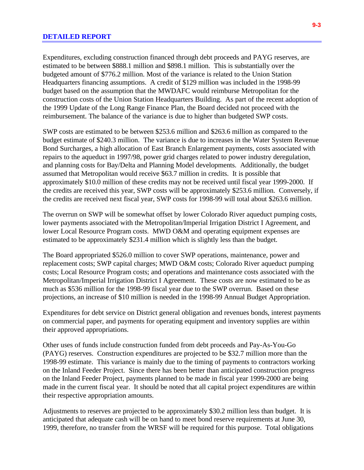#### **DETAILED REPORT**

Expenditures, excluding construction financed through debt proceeds and PAYG reserves, are estimated to be between \$888.1 million and \$898.1 million. This is substantially over the budgeted amount of \$776.2 million. Most of the variance is related to the Union Station Headquarters financing assumptions. A credit of \$129 million was included in the 1998-99 budget based on the assumption that the MWDAFC would reimburse Metropolitan for the construction costs of the Union Station Headquarters Building. As part of the recent adoption of the 1999 Update of the Long Range Finance Plan, the Board decided not proceed with the reimbursement. The balance of the variance is due to higher than budgeted SWP costs.

SWP costs are estimated to be between \$253.6 million and \$263.6 million as compared to the budget estimate of \$240.3 million. The variance is due to increases in the Water System Revenue Bond Surcharges, a high allocation of East Branch Enlargement payments, costs associated with repairs to the aqueduct in 1997/98, power grid charges related to power industry deregulation, and planning costs for Bay/Delta and Planning Model developments. Additionally, the budget assumed that Metropolitan would receive \$63.7 million in credits. It is possible that approximately \$10.0 million of these credits may not be received until fiscal year 1999-2000. If the credits are received this year, SWP costs will be approximately \$253.6 million. Conversely, if the credits are received next fiscal year, SWP costs for 1998-99 will total about \$263.6 million.

The overrun on SWP will be somewhat offset by lower Colorado River aqueduct pumping costs, lower payments associated with the Metropolitan/Imperial Irrigation District I Agreement, and lower Local Resource Program costs. MWD O&M and operating equipment expenses are estimated to be approximately \$231.4 million which is slightly less than the budget.

The Board appropriated \$526.0 million to cover SWP operations, maintenance, power and replacement costs; SWP capital charges; MWD O&M costs; Colorado River aqueduct pumping costs; Local Resource Program costs; and operations and maintenance costs associated with the Metropolitan/Imperial Irrigation District I Agreement. These costs are now estimated to be as much as \$536 million for the 1998-99 fiscal year due to the SWP overrun. Based on these projections, an increase of \$10 million is needed in the 1998-99 Annual Budget Appropriation.

Expenditures for debt service on District general obligation and revenues bonds, interest payments on commercial paper, and payments for operating equipment and inventory supplies are within their approved appropriations.

Other uses of funds include construction funded from debt proceeds and Pay-As-You-Go (PAYG) reserves. Construction expenditures are projected to be \$32.7 million more than the 1998-99 estimate. This variance is mainly due to the timing of payments to contractors working on the Inland Feeder Project. Since there has been better than anticipated construction progress on the Inland Feeder Project, payments planned to be made in fiscal year 1999-2000 are being made in the current fiscal year. It should be noted that all capital project expenditures are within their respective appropriation amounts.

Adjustments to reserves are projected to be approximately \$30.2 million less than budget. It is anticipated that adequate cash will be on hand to meet bond reserve requirements at June 30, 1999, therefore, no transfer from the WRSF will be required for this purpose. Total obligations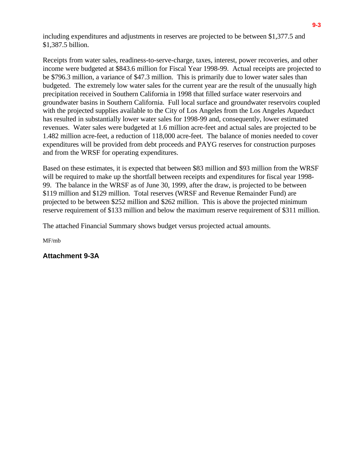including expenditures and adjustments in reserves are projected to be between \$1,377.5 and \$1,387.5 billion.

Receipts from water sales, readiness-to-serve-charge, taxes, interest, power recoveries, and other income were budgeted at \$843.6 million for Fiscal Year 1998-99. Actual receipts are projected to be \$796.3 million, a variance of \$47.3 million. This is primarily due to lower water sales than budgeted. The extremely low water sales for the current year are the result of the unusually high precipitation received in Southern California in 1998 that filled surface water reservoirs and groundwater basins in Southern California. Full local surface and groundwater reservoirs coupled with the projected supplies available to the City of Los Angeles from the Los Angeles Aqueduct has resulted in substantially lower water sales for 1998-99 and, consequently, lower estimated revenues. Water sales were budgeted at 1.6 million acre-feet and actual sales are projected to be 1.482 million acre-feet, a reduction of 118,000 acre-feet. The balance of monies needed to cover expenditures will be provided from debt proceeds and PAYG reserves for construction purposes and from the WRSF for operating expenditures.

Based on these estimates, it is expected that between \$83 million and \$93 million from the WRSF will be required to make up the shortfall between receipts and expenditures for fiscal year 1998- 99. The balance in the WRSF as of June 30, 1999, after the draw, is projected to be between \$119 million and \$129 million. Total reserves (WRSF and Revenue Remainder Fund) are projected to be between \$252 million and \$262 million. This is above the projected minimum reserve requirement of \$133 million and below the maximum reserve requirement of \$311 million.

The attached Financial Summary shows budget versus projected actual amounts.

MF/mb

**Attachment 9-3A**